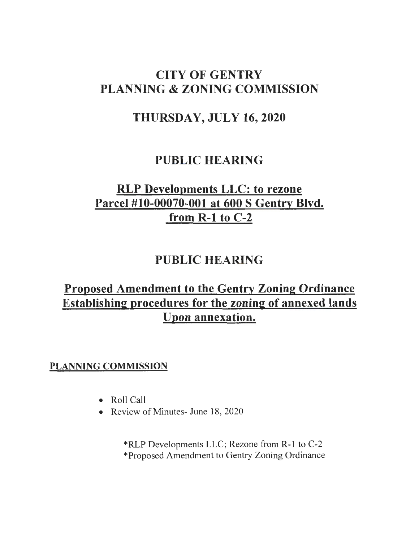# CITY OF GENTRY PLANNING & ZONING COMMISSION

# THURSDAY, JULY 16,2020

# PUBLIC HEARING

# RLP Developments LLC: to rezone Parcel #10-00070-001 at 600 S Gentry Blvd. from R-1 to C-2

# PUBLIC HEARING

# Proposed Amendment to the Gentry Zoning Ordinance Establishing procedures for the zoning of annexed lands Upon annexation.

# PLANNING COMMISSION

- Roll Call
- Review of Minutes- June 18, 2020

\*RLP Developments LLC; Rezone from R-1 to C-2 \*Proposed Amendment to Gentry Zoning Ordinance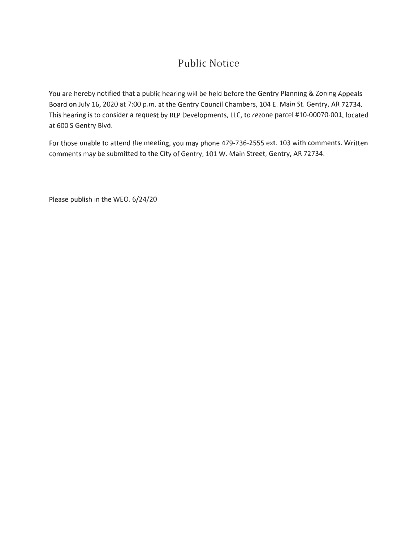# Public Notice

You are hereby notified that a public hearing will be held before the Gentry Planning & Zoning Appeals Board on July 16, 2020 at 7:00 p.m. at the Gentry Council Chambers, 104 E. Main St. Gentry, AR 72734. This hearing is to consider a request by RLP Developments, LLC, to rezone parcel #10-00070-001, located at 600 S Gentry Blvd.

For those unable to attend the meeting, you may phone 479-736-2555 ext. 103 with comments. Written comments may be submitted to the City of Gentry, 101 W. Main Street, Gentry, AR 72734.

Please publish in the WEO. 6/24/20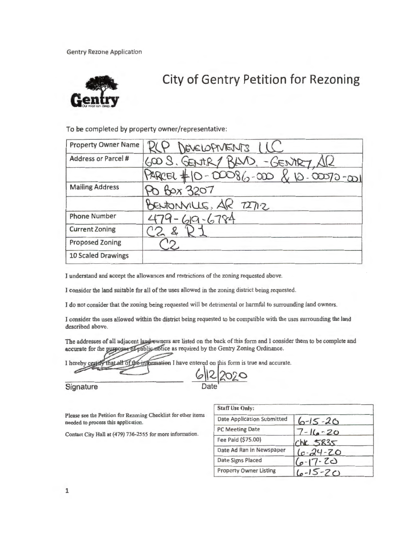Gentry Rezone Application



# **City of Gentry Petition for Rezoning**

To be completed by property owner/representative:

| <b>Property Owner Name</b> | RCP DEVELOPMENTS LLG                |
|----------------------------|-------------------------------------|
| <b>Address or Parcel #</b> | 600 S. GENTRY BAND. - GENTRY, AR    |
|                            | PARCEL #10-00086-000 & 10-00070-001 |
| <b>Mailing Address</b>     | Po Box 3207                         |
|                            | BENJONVILLE, AR 72712               |
| <b>Phone Number</b>        | $-619 - 6784$                       |
| <b>Current Zoning</b>      |                                     |
| <b>Proposed Zoning</b>     |                                     |
| 10 Scaled Drawings         |                                     |

I understand and accept the allowances and restrictions of the zoning requested above.

I consider the land suitable for all of the uses allowed in the zoning district being requested.

I do not consider that the zoning being requested will be detrimental or harmful to surrounding land owners.

I consider the uses allowed within the district being requested to be compatible with the uses surrounding the land described above.

The addresses of all adjacent land owners are listed on the back of this form and I consider them to be complete and accurate for the purposes of public notice as required by the Gentry Zoning Ordinance.

I hereby certify that all of the information I have entered on this form is true and accurate.

**Signature** 

Please see the Petition for Rezoning Checklist for other items needed to process this application.

Contact City Hall at (479) 736-2555 for more information.

| <b>Staff Use Only:</b>            |               |
|-----------------------------------|---------------|
| <b>Date Application Submitted</b> | $6 - 15 - 20$ |
| <b>PC Meeting Date</b>            | $7 - 16 - 20$ |
| Fee Paid (\$75.00)                | $CKC$ 5835    |
| Date Ad Ran in Newspaper          | $6 - 24 - 20$ |
| Date Signs Placed                 | $6 - 17 - 20$ |
| <b>Property Owner Listing</b>     | $10-15-20$    |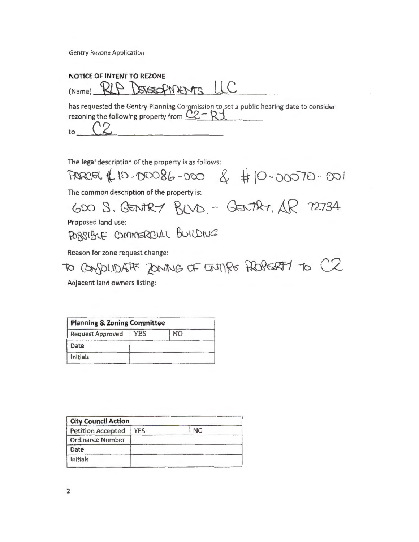Gentry Rezone Application

**NOTICE OF INTENT TO REZONE**  (Name) RLP DEVERGPINENTS LLC

has requested the Gentry Planning Commission to set a public hearing date to consider rezoning the following property from *C..Z-* Ri

to  $\sim$ 

The legal description of the property is as follows:

PARCEL \$ 10-00086-000 & #10-00070-001

The common description of the property is:

 $600$   $S.$  GENTRY  $BVD -$  GENTRY,  $AR$  72734

Proposed land use:

POSSIBLE COMMERCIAL BUILDING

Reason for zone request change:

TO CONSOLIDATE ZONING OF ENTIRE PROPERT1 TO C2

Adjacent land owners listing:

| <b>Planning &amp; Zoning Committee</b> |     |    |  |
|----------------------------------------|-----|----|--|
| <b>Request Approved</b>                | YES | NO |  |
| Date                                   |     |    |  |
| Initials                               |     |    |  |

| <b>City Council Action</b> |           |  |  |
|----------------------------|-----------|--|--|
| <b>YES</b>                 | <b>NO</b> |  |  |
|                            |           |  |  |
|                            |           |  |  |
|                            |           |  |  |
|                            |           |  |  |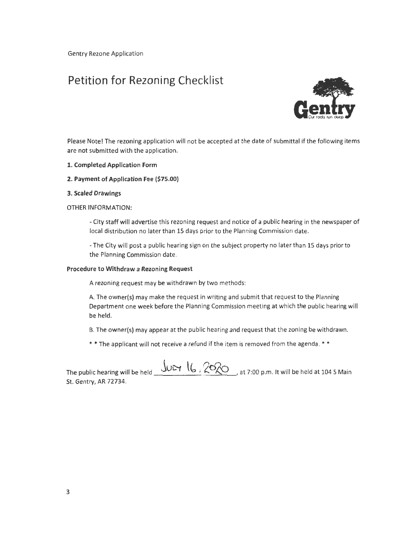Gentry Rezone Application

# Petition for Rezoning Checklist



Please Note! The rezoning application will not be accepted at the date of submittal if the following items are not submitted with the application.

- 1. Completed Application Form
- 2. Payment of Application Fee (\$75.00)

#### 3. Scaled Drawings

#### OTHER INFORMATION:

-City staff will advertise this rezoning request and notice of a public hearing in the newspaper of local distribution no later than 15 days prior to the Planning Commission date.

-The City will post a public hearing sign on the subject property no later than 15 days prior to the Planning Commission date.

#### Procedure to Withdraw a Rezoning Request

A rezoning request may be withdrawn by two methods:

A. The owner(s) may make the request in writing and submit that request to the Planning Department one week before the Planning Commission meeting at which the public hearing will be held.

B. The owner(s) may appear at the public hearing and request that the zoning be withdrawn.

\* \*The applicant will not receive a refund if the item is removed from the agenda. \* \*

The public hearing will be held  $JUT$   $6$ ,  $20$   $\sim$  at 7:00 p.m. It will be held at 104 S Main St. Gentry, AR 72734.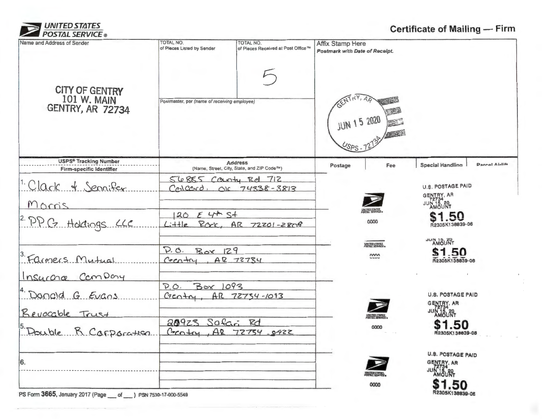

# **Certificate of Mailing- Firm**

| Name and Address of Sender                                             | TOTAL NO.<br>of Pieces Listed by Sender      | TOTAL NO.<br>of Pieces Received at Post Office™              | Affix Stamp Here<br>Postmark with Date of Receipt. |                                                                |
|------------------------------------------------------------------------|----------------------------------------------|--------------------------------------------------------------|----------------------------------------------------|----------------------------------------------------------------|
| <b>CITY OF GENTRY</b><br><b>101 W. MAIN</b><br><b>GENTRY, AR 72734</b> | Postmaster, per (name of receiving employee) |                                                              | <b>JUN 15 2020</b>                                 |                                                                |
| <b>USPS<sup>6</sup> Tracking Number</b><br>Firm-specific Identifier    |                                              | <b>Address</b><br>(Name, Street, City, State, and ZIP Code™) | Fee<br>Postage                                     | <b>Parrol Airlife</b><br><b>Special Handling</b>               |
| 1. Clark & Senaifer                                                    | 56885 County Rd 712                          | Colcord, OK 74338-3813                                       |                                                    | <b>U.S. POSTAGE PAID</b>                                       |
| Morris                                                                 |                                              |                                                              | <b>TED STATES</b>                                  | GENTRY, AR<br>JUN 15, 20<br>JUN 15, 20                         |
| 2. P.P. C. Holdings LLC                                                | $120$ E 4 <sup>th</sup> St<br>$L: ++e$       | Rack, AR 72201-2808                                          | 0000                                               | \$1.50<br>12305K138839-06                                      |
|                                                                        | P.O. Box 129                                 |                                                              | <b>UNITED STATES</b><br>nnnn                       | DE GI AUDI<br>\$1.50                                           |
| 3. Farmers Mutual<br>Insurance Campony                                 | $C_2C_1 + r_1$ , $AP$ 72734                  |                                                              |                                                    | R2305K138839-06                                                |
| Donald G Evans                                                         | P.0.<br>Box 1093<br>C <sub>2</sub>           | AR 72754-1093                                                |                                                    | <b>U.S. POSTAGE PAID</b><br>GENTRY, AR                         |
| Beyocable Trust<br>Double R Corporation                                | 20923 Safari Rd                              | Creater AR 72754 8922                                        | 0000                                               | N 15.20<br>AMOUNT<br>\$1.50<br>R2305K138839-08                 |
| 6.                                                                     |                                              |                                                              |                                                    | <b>U.S. POSTAGE PAID</b><br>GENTRY, AR<br>JUN 15, 20<br>AMOUNT |
| $DC Form 3665$ $lannon 2017 (Done of 10807520.17,000.5540)$            |                                              |                                                              | 0000                                               | .50<br>R2305K138839-06                                         |

PS Form 3665, January 2017 (Page of Strings 2017 PSN 7530-17-000-5549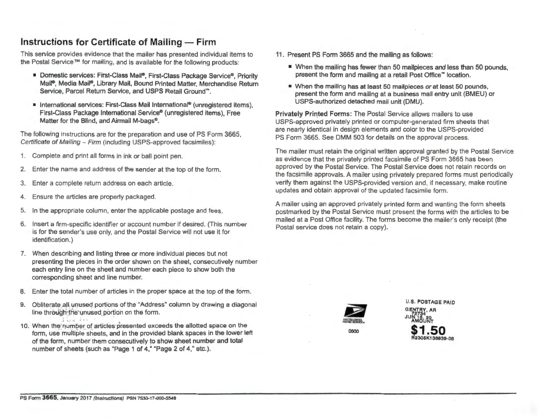# **Instructions for Certificate of Mailing- Firm**

This service provides evidence that the mailer has presented individual items to the Postal Service ™ for mailing, and is available for the following products:

- Domestic services: First-Class Mail®, First-Class Package Service®, Priority Mail®, Media Mail®, Library Mail, Bound Printed Matter, Merchandise Return Service, Parcel Return Service, and USPS Retail Ground"'.
- International services: First-Class Mail International<sup>®</sup> (unregistered items), First-Class Package International Service® (unregistered items), Free Matter for the Blind, and Airmail M-bags®.

The following instructions are for the preparation and use of PS Form 3665, Certificate of Mailing- Firm (including USPS-approved facsimiles):

- 1. Complete and print all forms in ink or ball point pen.
- 2. Enter the name and address of the sender at the top of the form.
- 3. Enter a complete return address on each article.
- 4. Ensure the articles are properly packaged.
- 5. In the appropriate column, enter the applicable postage and fees.
- 6. Insert a firm-specific identifier or account number if desired. (This number is for the sender's use only, and the Postal Service will not use it for identification.)
- 7. When describing and listing three or more individual pieces but not presenting the pieces in the order shown on the sheet, consecutively number each entry line on the sheet and number each piece to show both the corresponding sheet and line number.
- 8. Enter the total number of articles in the proper space at the top of the form.
- 9. Obliterate all unused portions of the "Address" column by drawing a diagonal line through the unused portion on the form.
- ' <sup>J</sup>"·'- 10. When the number of articles presented exceeds the allotted space on the form, use multiple sheets, and in the provided blank spaces in the lower left of the form, number them consecutively to show sheet number and total number of sheets (such as "Page 1 of 4," "Page 2 of 4," etc.).
- 11 . Present PS Form 3665 and the mailing as follows:
	- \* When the mailing has fewer than 50 mailpieces and less than 50 pounds, present the form and mailing at a retail Post Office"' location.
	- When the mailing has at least 50 mailpieces or at least 50 pounds, present the form and mailing at a business mail entry unit (BMEU) or USPS-authorized detached mail unit (DMU).

Privately Printed Forms: The Postal Service allows mailers to use USPS-approved privately printed or computer-generated firm sheets that are nearly identical in design elements and color to the USPS-provided PS Form 3665. See DMM 503 for details on the approval process.

The mailer must retain the original written approval granted by the Postal Service as evidence that the privately printed facsimile of PS Form 3665 has been approved by the Postal Service. The Postal Service does not retain records on the facsimile approvals. A mailer using privately prepared forms must periodically verify them against the USPS-provided version and, if necessary, make routine updates and obtain approval of the updated facsimile form.

A mailer using an approved privately printed form and wanting the form sheets postmarked by the Postal Service must present the forms with the articles to be mailed at a Post Office facility. The forms become the mailer's only receipt (the Postal service does not retain a copy).



0000

U.S. POSTAGE PAID GENTRY, AR JUN 15<sub>20</sub> **\$1.50**  R2305K138839·06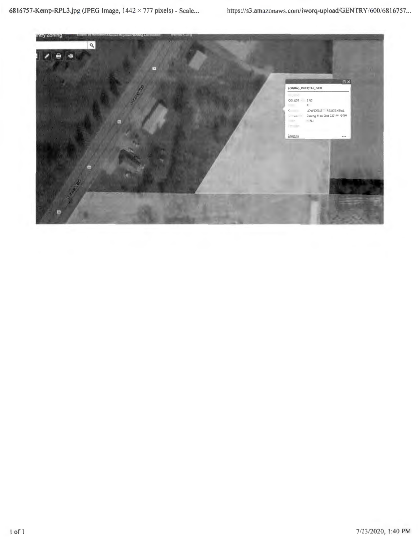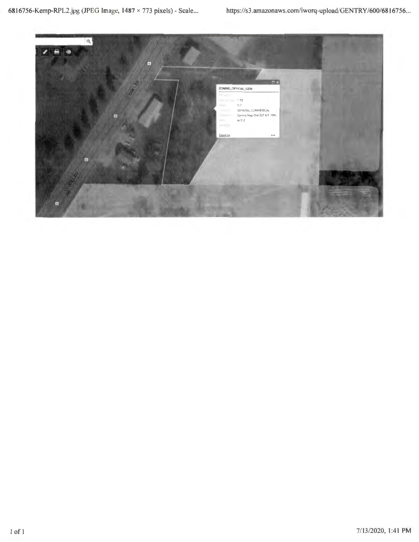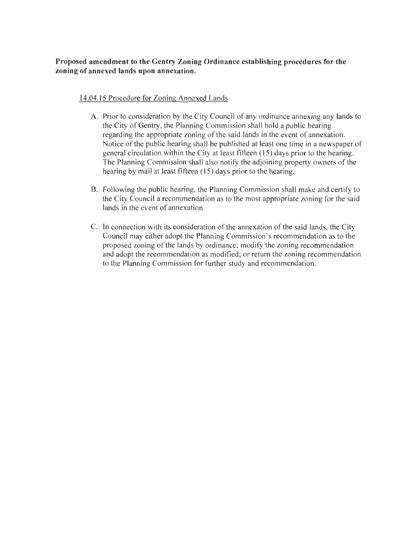### **Proposed amendment to the Gentry Zoning Ordinance establishing procedures for the zoning of annexed lands upon annexation.**

### 14.04.15 Procedure for Zoning Annexed Lands

- A. Prior to consideration by the City Council of any ordinance annexing any lands to the City of Gentry, the Planning Commission shall hold a public hearing regarding the appropriate zoning of the said lands in the event of annexation. Notice of the public hearing shall be published at least one time in a newspaper of general circulation within the City at least fifteen ( 15) days prior to the hearing. The Planning Commission shall also notify the adjoining property owners of the hearing by mail at least fifteen (15) days prior to the hearing.
- B. Following the public hearing, the Planning Commission shall make and certify to the City Council a recommendation as to the most appropriate zoning for the said lands in the event of annexation.
- C. In connection with its consideration of the annexation of the said lands, the City Council may either adopt the Planning Commission's recommendation as to the proposed zoning of the lands by ordinance; modify the zoning recommendation and adopt the recommendation as modified; or return the zoning recommendation to the Planning Commission for further study and recommendation.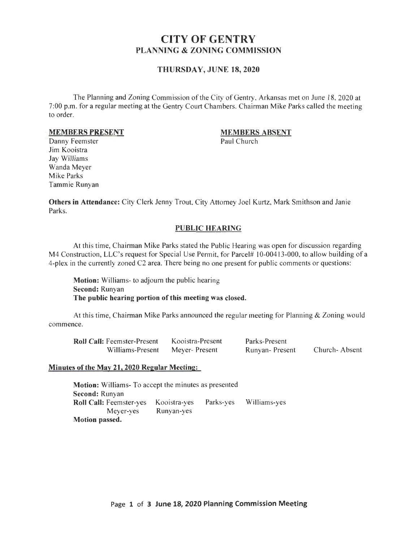# CITY OF GENTRY PLANNING & ZONING COMMISSION

### THURSDAY, JUNE 18,2020

The Planning and Zoning Commission of the City of Gentry, Arkansas met on June 18, 2020 at 7:00 p.m. for a regular meeting at the Gentry Court Chambers. Chairman Mike Parks called the meeting to order.

### MEMBERS PRESENT

## MEMBERS ABSENT

Paul Church

Danny Feemster Jim Kooistra Jay Williams Wanda Meyer Mike Parks Tammie Runyan

Others in Attendance: City Clerk Jenny Trout, City Attorney Joel Kurtz, Mark Smithson and Janie Parks.

### PUBLIC HEARING

At this time, Chairman Mike Parks stated the Public Hearing was open for discussion regarding M4 Construction, LLC's request for Special Use Permit, for Parcel# 10-00413-000, to allow building of a 4-plex in the currently zoned C2 area. There being no one present for public comments or questions:

Motion: Williams- to adjourn the public hearing Second: Runyan The public hearing portion of this meeting was closed.

At this time, Chairman Mike Parks announced the regular meeting for Planning & Zoning wou ld commence.

| <b>Roll Call: Feemster-Present</b> | Kooistra-Present | Parks-Present   |               |
|------------------------------------|------------------|-----------------|---------------|
| Williams-Present                   | Meyer- Present   | Runyan- Present | Church-Absent |

### Minutes of the May 21, 2020 Regular Meeting:

Motion: Williams- To accept the minutes as presented Second: Runyan Roll Call: Feemster-yes Kooistra-yes Parks-yes Williams-yes Meyer-yes Runyan-yes Motion passed.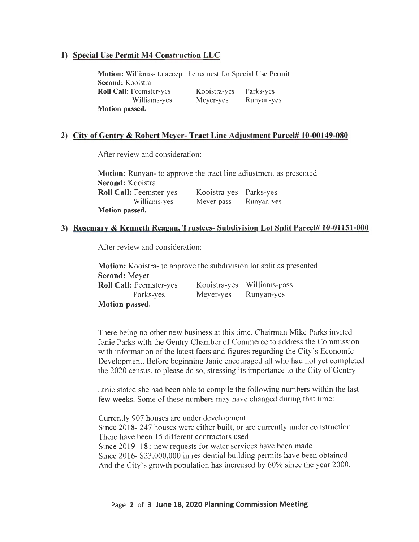### 1) Special Use Permit M4 Construction LLC

Motion: Williams- to accept the request for Special Use Permit Second: Kooistra Roll Call: Feemster-yes Williams-yes Motion passed. Kooistra-yes Meyer-yes Parks-yes Runyan-yes

### 2) City of Gentry & Robert Meyer- Tract Line Adjustment Parcel# 10-00149-080

After review and consideration:

Motion: Runyan- to approve the tract line adjustment as presented Second: Kooistra Roll Call: Feemster-yes Williams-yes Motion passed. Kooistra-yes Parks-yes Meyer-pass Runyan-yes

### 3) Rosemary & Kenneth Reagan, Trustees- Subdivision Lot Split Parcel# 10-01151-000

After review and consideration:

Motion: Kooistra- to approve the subdivision lot split as presented Second: Meyer Roll Call: Feemster-yes Parks-yes Motion passed. Kooistra-yes Williams-pass Meyer-yes Runyan-yes

There being no other new business at this time, Chairman Mike Parks invited Janie Parks with the Gentry Chamber of Commerce to address the Commission with information of the latest facts and figures regarding the City's Economic Development. Before beginning Janie encouraged all who had not yet completed the 2020 census, to please do so, stressing its importance to the City of Gentry.

Janie stated she had been able to compile the following numbers within the last few weeks. Some of these numbers may have changed during that time:

Currently 907 houses are under development Since 2018- 247 houses were either built, or are currently under construction There have been 15 different contractors used Since 2019- 181 new requests for water services have been made Since 2016- \$23,000,000 in residential building permits have been obtained And the City's growth population has increased by 60% since the year 2000.